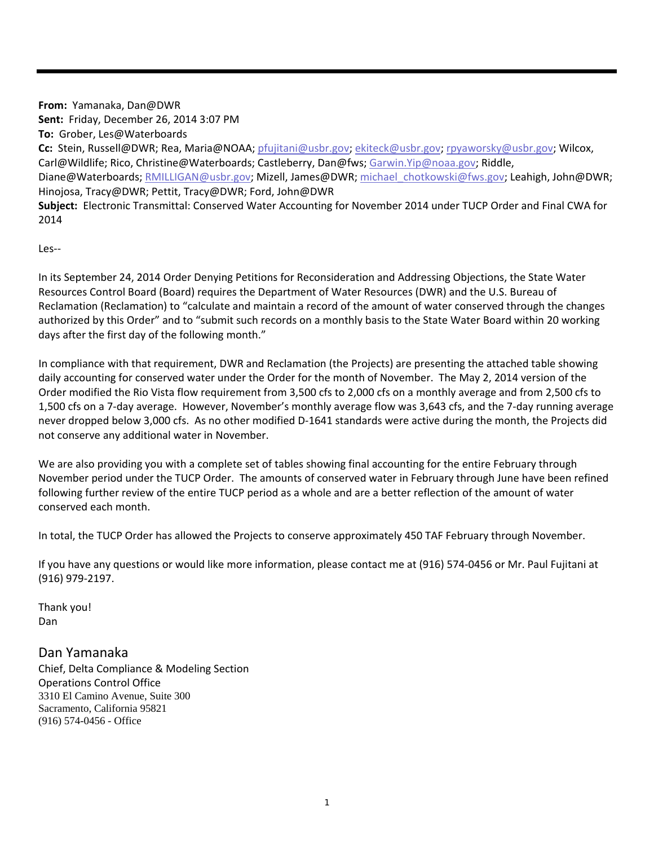**From:** Yamanaka, Dan@DWR **Sent:** Friday, December 26, 2014 3:07 PM **To:** Grober, Les@Waterboards **Cc:** Stein, Russell@DWR; Rea, Maria@NOAA; pfujitani@usbr.gov; ekiteck@usbr.gov; rpyaworsky@usbr.gov; Wilcox, Carl@Wildlife; Rico, Christine@Waterboards; Castleberry, Dan@fws; Garwin.Yip@noaa.gov; Riddle, Diane@Waterboards; RMILLIGAN@usbr.gov; Mizell, James@DWR; michael chotkowski@fws.gov; Leahigh, John@DWR; Hinojosa, Tracy@DWR; Pettit, Tracy@DWR; Ford, John@DWR **Subject:** Electronic Transmittal: Conserved Water Accounting for November 2014 under TUCP Order and Final CWA for 2014

Les‐‐

In its September 24, 2014 Order Denying Petitions for Reconsideration and Addressing Objections, the State Water Resources Control Board (Board) requires the Department of Water Resources (DWR) and the U.S. Bureau of Reclamation (Reclamation) to "calculate and maintain a record of the amount of water conserved through the changes authorized by this Order" and to "submit such records on a monthly basis to the State Water Board within 20 working days after the first day of the following month."

In compliance with that requirement, DWR and Reclamation (the Projects) are presenting the attached table showing daily accounting for conserved water under the Order for the month of November. The May 2, 2014 version of the Order modified the Rio Vista flow requirement from 3,500 cfs to 2,000 cfs on a monthly average and from 2,500 cfs to 1,500 cfs on a 7‐day average. However, November's monthly average flow was 3,643 cfs, and the 7‐day running average never dropped below 3,000 cfs. As no other modified D‐1641 standards were active during the month, the Projects did not conserve any additional water in November.

We are also providing you with a complete set of tables showing final accounting for the entire February through November period under the TUCP Order. The amounts of conserved water in February through June have been refined following further review of the entire TUCP period as a whole and are a better reflection of the amount of water conserved each month.

In total, the TUCP Order has allowed the Projects to conserve approximately 450 TAF February through November.

If you have any questions or would like more information, please contact me at (916) 574‐0456 or Mr. Paul Fujitani at (916) 979‐2197.

Thank you! Dan

## Dan Yamanaka

Chief, Delta Compliance & Modeling Section Operations Control Office 3310 El Camino Avenue, Suite 300 Sacramento, California 95821 (916) 574-0456 - Office